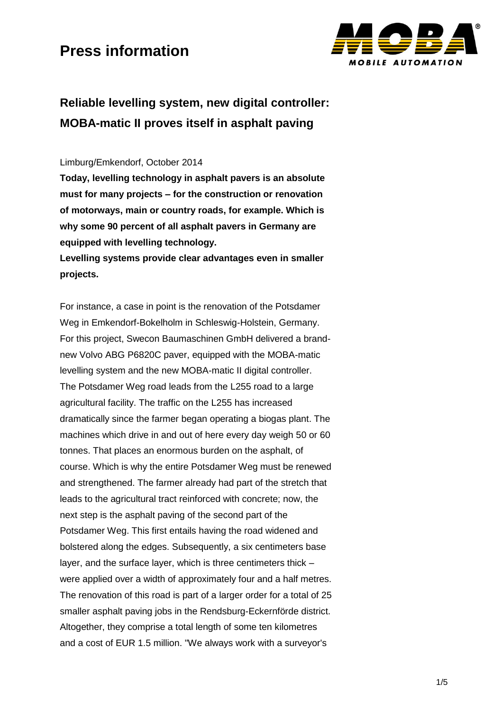

## **Reliable levelling system, new digital controller: MOBA-matic II proves itself in asphalt paving**

#### Limburg/Emkendorf, October 2014

**Today, levelling technology in asphalt pavers is an absolute must for many projects – for the construction or renovation of motorways, main or country roads, for example. Which is why some 90 percent of all asphalt pavers in Germany are equipped with levelling technology.** 

**Levelling systems provide clear advantages even in smaller projects.** 

For instance, a case in point is the renovation of the Potsdamer Weg in Emkendorf-Bokelholm in Schleswig-Holstein, Germany. For this project, Swecon Baumaschinen GmbH delivered a brandnew Volvo ABG P6820C paver, equipped with the MOBA-matic levelling system and the new MOBA-matic II digital controller. The Potsdamer Weg road leads from the L255 road to a large agricultural facility. The traffic on the L255 has increased dramatically since the farmer began operating a biogas plant. The machines which drive in and out of here every day weigh 50 or 60 tonnes. That places an enormous burden on the asphalt, of course. Which is why the entire Potsdamer Weg must be renewed and strengthened. The farmer already had part of the stretch that leads to the agricultural tract reinforced with concrete; now, the next step is the asphalt paving of the second part of the Potsdamer Weg. This first entails having the road widened and bolstered along the edges. Subsequently, a six centimeters base layer, and the surface layer, which is three centimeters thick – were applied over a width of approximately four and a half metres. The renovation of this road is part of a larger order for a total of 25 smaller asphalt paving jobs in the Rendsburg-Eckernförde district. Altogether, they comprise a total length of some ten kilometres and a cost of EUR 1.5 million. "We always work with a surveyor's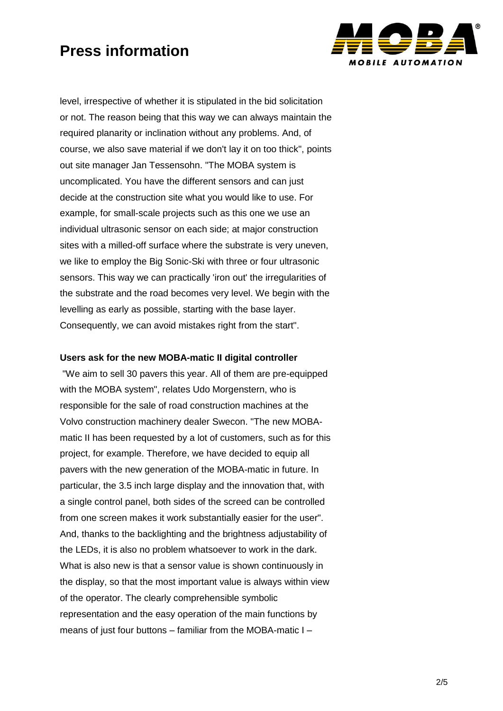

level, irrespective of whether it is stipulated in the bid solicitation or not. The reason being that this way we can always maintain the required planarity or inclination without any problems. And, of course, we also save material if we don't lay it on too thick", points out site manager Jan Tessensohn. "The MOBA system is uncomplicated. You have the different sensors and can just decide at the construction site what you would like to use. For example, for small-scale projects such as this one we use an individual ultrasonic sensor on each side; at major construction sites with a milled-off surface where the substrate is very uneven, we like to employ the Big Sonic-Ski with three or four ultrasonic sensors. This way we can practically 'iron out' the irregularities of the substrate and the road becomes very level. We begin with the levelling as early as possible, starting with the base layer. Consequently, we can avoid mistakes right from the start".

#### **Users ask for the new MOBA-matic II digital controller**

"We aim to sell 30 pavers this year. All of them are pre-equipped with the MOBA system", relates Udo Morgenstern, who is responsible for the sale of road construction machines at the Volvo construction machinery dealer Swecon. "The new MOBAmatic II has been requested by a lot of customers, such as for this project, for example. Therefore, we have decided to equip all pavers with the new generation of the MOBA-matic in future. In particular, the 3.5 inch large display and the innovation that, with a single control panel, both sides of the screed can be controlled from one screen makes it work substantially easier for the user". And, thanks to the backlighting and the brightness adjustability of the LEDs, it is also no problem whatsoever to work in the dark. What is also new is that a sensor value is shown continuously in the display, so that the most important value is always within view of the operator. The clearly comprehensible symbolic representation and the easy operation of the main functions by means of just four buttons – familiar from the MOBA-matic I –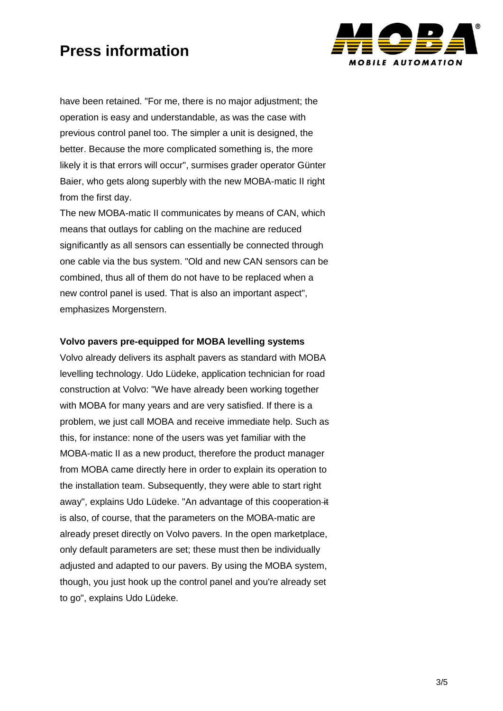

have been retained. "For me, there is no major adjustment; the operation is easy and understandable, as was the case with previous control panel too. The simpler a unit is designed, the better. Because the more complicated something is, the more likely it is that errors will occur", surmises grader operator Günter Baier, who gets along superbly with the new MOBA-matic II right from the first day.

The new MOBA-matic II communicates by means of CAN, which means that outlays for cabling on the machine are reduced significantly as all sensors can essentially be connected through one cable via the bus system. "Old and new CAN sensors can be combined, thus all of them do not have to be replaced when a new control panel is used. That is also an important aspect", emphasizes Morgenstern.

#### **Volvo pavers pre-equipped for MOBA levelling systems**

Volvo already delivers its asphalt pavers as standard with MOBA levelling technology. Udo Lüdeke, application technician for road construction at Volvo: "We have already been working together with MOBA for many years and are very satisfied. If there is a problem, we just call MOBA and receive immediate help. Such as this, for instance: none of the users was yet familiar with the MOBA-matic II as a new product, therefore the product manager from MOBA came directly here in order to explain its operation to the installation team. Subsequently, they were able to start right away", explains Udo Lüdeke. "An advantage of this cooperation it is also, of course, that the parameters on the MOBA-matic are already preset directly on Volvo pavers. In the open marketplace, only default parameters are set; these must then be individually adjusted and adapted to our pavers. By using the MOBA system, though, you just hook up the control panel and you're already set to go", explains Udo Lüdeke.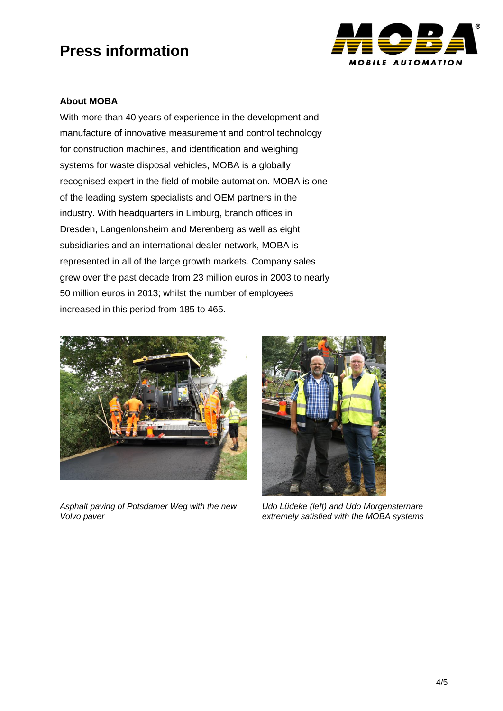

### **About MOBA**

With more than 40 years of experience in the development and manufacture of innovative measurement and control technology for construction machines, and identification and weighing systems for waste disposal vehicles, MOBA is a globally recognised expert in the field of mobile automation. MOBA is one of the leading system specialists and OEM partners in the industry. With headquarters in Limburg, branch offices in Dresden, Langenlonsheim and Merenberg as well as eight subsidiaries and an international dealer network, MOBA is represented in all of the large growth markets. Company sales grew over the past decade from 23 million euros in 2003 to nearly 50 million euros in 2013; whilst the number of employees increased in this period from 185 to 465.



*Asphalt paving of Potsdamer Weg with the new Volvo paver*



*Udo Lüdeke (left) and Udo Morgensternare extremely satisfied with the MOBA systems*